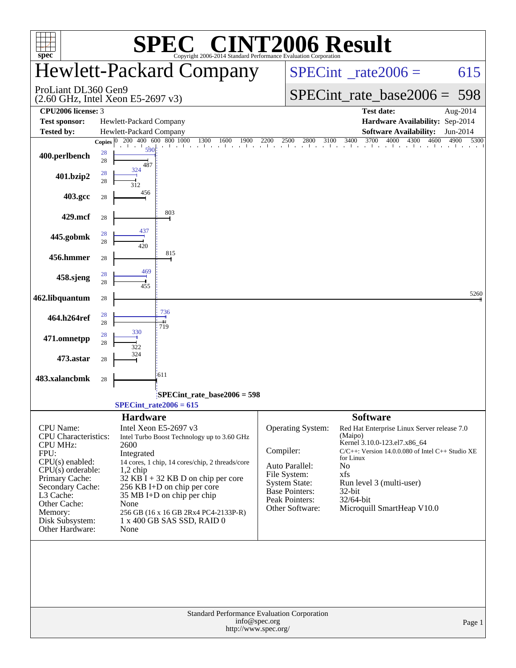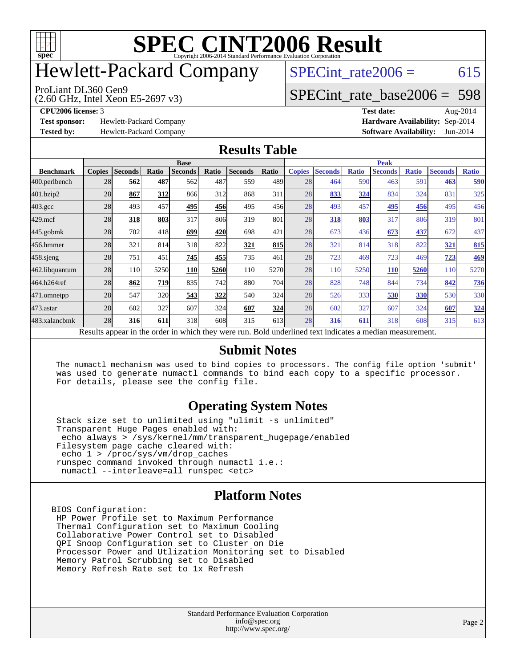

# Hewlett-Packard Company

ProLiant DL360 Gen9

 $SPECTnt_rate2006 = 615$ 

## [SPECint\\_rate\\_base2006 =](http://www.spec.org/auto/cpu2006/Docs/result-fields.html#SPECintratebase2006) 598

**[Test sponsor:](http://www.spec.org/auto/cpu2006/Docs/result-fields.html#Testsponsor)** Hewlett-Packard Company **[Hardware Availability:](http://www.spec.org/auto/cpu2006/Docs/result-fields.html#HardwareAvailability)** Sep-2014

(2.60 GHz, Intel Xeon E5-2697 v3)

**[CPU2006 license:](http://www.spec.org/auto/cpu2006/Docs/result-fields.html#CPU2006license)** 3 **[Test date:](http://www.spec.org/auto/cpu2006/Docs/result-fields.html#Testdate)** Aug-2014 **[Tested by:](http://www.spec.org/auto/cpu2006/Docs/result-fields.html#Testedby)** Hewlett-Packard Company **[Software Availability:](http://www.spec.org/auto/cpu2006/Docs/result-fields.html#SoftwareAvailability)** Jun-2014

#### **[Results Table](http://www.spec.org/auto/cpu2006/Docs/result-fields.html#ResultsTable)**

|                    | <b>Base</b>   |                |       |                                                                                                          |       |                |                  | <b>Peak</b>   |                |              |                |              |                |              |
|--------------------|---------------|----------------|-------|----------------------------------------------------------------------------------------------------------|-------|----------------|------------------|---------------|----------------|--------------|----------------|--------------|----------------|--------------|
| <b>Benchmark</b>   | <b>Copies</b> | <b>Seconds</b> | Ratio | <b>Seconds</b>                                                                                           | Ratio | <b>Seconds</b> | Ratio            | <b>Copies</b> | <b>Seconds</b> | <b>Ratio</b> | <b>Seconds</b> | <b>Ratio</b> | <b>Seconds</b> | <b>Ratio</b> |
| 400.perlbench      | 28            | 562            | 487   | 562                                                                                                      | 487   | 559            | 489 <sub>l</sub> | 28            | 464            | 590          | 463            | 591          | 463            | 590          |
| 401.bzip2          | 28            | 867            | 312   | 866                                                                                                      | 312   | 868            | 311              | 28            | 833            | 324          | 834            | 324          | 831            | 325          |
| $403.\mathrm{gcc}$ | 28            | 493            | 457   | 495                                                                                                      | 456   | 495            | 456              | 28            | 493            | 457          | 495            | 456          | 495            | 456          |
| $429$ .mcf         | 28            | 318            | 803   | 317                                                                                                      | 806   | 319            | 801              | 28            | 318            | 803          | 317            | 806          | 319            | 801          |
| $445$ .gobm $k$    | 28            | 702            | 418   | 699                                                                                                      | 420   | 698            | 421              | 28            | 673            | 436          | 673            | 437          | 672            | 437          |
| 456.hmmer          | 28            | 321            | 814   | 318                                                                                                      | 822   | 321            | 815              | 28            | 321            | 814          | 318            | 822          | 321            | 815          |
| 458 sjeng          | 28            | 751            | 451   | 745                                                                                                      | 455   | 735            | 461              | 28            | 723            | 469          | 723            | 469          | 723            | <u>469</u>   |
| 462.libquantum     | 28            | 110            | 5250  | 110                                                                                                      | 5260  | 110            | 5270             | 28            | 110            | 5250         | 110            | 5260         | 110            | 5270         |
| 464.h264ref        | 28            | 862            | 719   | 835                                                                                                      | 742   | 880            | 704              | 28            | 828            | 748          | 844            | 734          | 842            | 736          |
| 471.omnetpp        | 28            | 547            | 320   | 543                                                                                                      | 322   | 540            | 324              | 28            | 526            | 333          | 530            | 330          | 530            | 330          |
| $473.$ astar       | 28            | 602            | 327   | 607                                                                                                      | 324   | 607            | 324              | 28            | 602            | 327          | 607            | 324          | 607            | 324          |
| 483.xalancbmk      | 28            | 316            | 611   | 318                                                                                                      | 608   | 315            | 613              | 28            | 316            | 611          | 318            | 608          | 315            | 613          |
|                    |               |                |       | Results appear in the order in which they were run. Bold underlined text indicates a median measurement. |       |                |                  |               |                |              |                |              |                |              |

#### **[Submit Notes](http://www.spec.org/auto/cpu2006/Docs/result-fields.html#SubmitNotes)**

 The numactl mechanism was used to bind copies to processors. The config file option 'submit' was used to generate numactl commands to bind each copy to a specific processor. For details, please see the config file.

#### **[Operating System Notes](http://www.spec.org/auto/cpu2006/Docs/result-fields.html#OperatingSystemNotes)**

 Stack size set to unlimited using "ulimit -s unlimited" Transparent Huge Pages enabled with: echo always > /sys/kernel/mm/transparent\_hugepage/enabled Filesystem page cache cleared with: echo 1 > /proc/sys/vm/drop\_caches runspec command invoked through numactl i.e.: numactl --interleave=all runspec <etc>

#### **[Platform Notes](http://www.spec.org/auto/cpu2006/Docs/result-fields.html#PlatformNotes)**

BIOS Configuration: HP Power Profile set to Maximum Performance Thermal Configuration set to Maximum Cooling Collaborative Power Control set to Disabled QPI Snoop Configuration set to Cluster on Die Processor Power and Utlization Monitoring set to Disabled Memory Patrol Scrubbing set to Disabled Memory Refresh Rate set to 1x Refresh

> Standard Performance Evaluation Corporation [info@spec.org](mailto:info@spec.org) <http://www.spec.org/>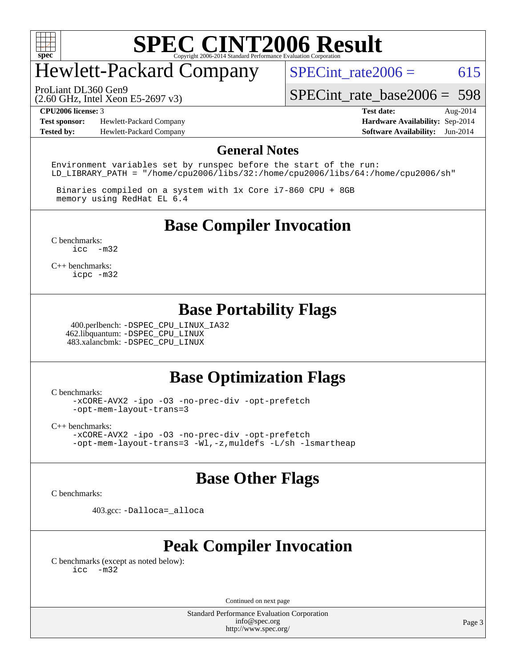

## Hewlett-Packard Company

SPECint rate $2006 = 615$ 

(2.60 GHz, Intel Xeon E5-2697 v3) ProLiant DL360 Gen9

[SPECint\\_rate\\_base2006 =](http://www.spec.org/auto/cpu2006/Docs/result-fields.html#SPECintratebase2006) 598

**[Test sponsor:](http://www.spec.org/auto/cpu2006/Docs/result-fields.html#Testsponsor)** Hewlett-Packard Company **[Hardware Availability:](http://www.spec.org/auto/cpu2006/Docs/result-fields.html#HardwareAvailability)** Sep-2014 **[Tested by:](http://www.spec.org/auto/cpu2006/Docs/result-fields.html#Testedby)** Hewlett-Packard Company **[Software Availability:](http://www.spec.org/auto/cpu2006/Docs/result-fields.html#SoftwareAvailability)** Jun-2014

**[CPU2006 license:](http://www.spec.org/auto/cpu2006/Docs/result-fields.html#CPU2006license)** 3 **[Test date:](http://www.spec.org/auto/cpu2006/Docs/result-fields.html#Testdate)** Aug-2014

#### **[General Notes](http://www.spec.org/auto/cpu2006/Docs/result-fields.html#GeneralNotes)**

Environment variables set by runspec before the start of the run: LD LIBRARY PATH = "/home/cpu2006/libs/32:/home/cpu2006/libs/64:/home/cpu2006/sh"

 Binaries compiled on a system with 1x Core i7-860 CPU + 8GB memory using RedHat EL 6.4

**[Base Compiler Invocation](http://www.spec.org/auto/cpu2006/Docs/result-fields.html#BaseCompilerInvocation)**

[C benchmarks](http://www.spec.org/auto/cpu2006/Docs/result-fields.html#Cbenchmarks): [icc -m32](http://www.spec.org/cpu2006/results/res2014q3/cpu2006-20140908-31233.flags.html#user_CCbase_intel_icc_5ff4a39e364c98233615fdd38438c6f2)

[C++ benchmarks:](http://www.spec.org/auto/cpu2006/Docs/result-fields.html#CXXbenchmarks) [icpc -m32](http://www.spec.org/cpu2006/results/res2014q3/cpu2006-20140908-31233.flags.html#user_CXXbase_intel_icpc_4e5a5ef1a53fd332b3c49e69c3330699)

### **[Base Portability Flags](http://www.spec.org/auto/cpu2006/Docs/result-fields.html#BasePortabilityFlags)**

 400.perlbench: [-DSPEC\\_CPU\\_LINUX\\_IA32](http://www.spec.org/cpu2006/results/res2014q3/cpu2006-20140908-31233.flags.html#b400.perlbench_baseCPORTABILITY_DSPEC_CPU_LINUX_IA32) 462.libquantum: [-DSPEC\\_CPU\\_LINUX](http://www.spec.org/cpu2006/results/res2014q3/cpu2006-20140908-31233.flags.html#b462.libquantum_baseCPORTABILITY_DSPEC_CPU_LINUX) 483.xalancbmk: [-DSPEC\\_CPU\\_LINUX](http://www.spec.org/cpu2006/results/res2014q3/cpu2006-20140908-31233.flags.html#b483.xalancbmk_baseCXXPORTABILITY_DSPEC_CPU_LINUX)

### **[Base Optimization Flags](http://www.spec.org/auto/cpu2006/Docs/result-fields.html#BaseOptimizationFlags)**

[C benchmarks](http://www.spec.org/auto/cpu2006/Docs/result-fields.html#Cbenchmarks):

[-xCORE-AVX2](http://www.spec.org/cpu2006/results/res2014q3/cpu2006-20140908-31233.flags.html#user_CCbase_f-xAVX2_5f5fc0cbe2c9f62c816d3e45806c70d7) [-ipo](http://www.spec.org/cpu2006/results/res2014q3/cpu2006-20140908-31233.flags.html#user_CCbase_f-ipo) [-O3](http://www.spec.org/cpu2006/results/res2014q3/cpu2006-20140908-31233.flags.html#user_CCbase_f-O3) [-no-prec-div](http://www.spec.org/cpu2006/results/res2014q3/cpu2006-20140908-31233.flags.html#user_CCbase_f-no-prec-div) [-opt-prefetch](http://www.spec.org/cpu2006/results/res2014q3/cpu2006-20140908-31233.flags.html#user_CCbase_f-opt-prefetch) [-opt-mem-layout-trans=3](http://www.spec.org/cpu2006/results/res2014q3/cpu2006-20140908-31233.flags.html#user_CCbase_f-opt-mem-layout-trans_a7b82ad4bd7abf52556d4961a2ae94d5)

[C++ benchmarks:](http://www.spec.org/auto/cpu2006/Docs/result-fields.html#CXXbenchmarks)

[-xCORE-AVX2](http://www.spec.org/cpu2006/results/res2014q3/cpu2006-20140908-31233.flags.html#user_CXXbase_f-xAVX2_5f5fc0cbe2c9f62c816d3e45806c70d7) [-ipo](http://www.spec.org/cpu2006/results/res2014q3/cpu2006-20140908-31233.flags.html#user_CXXbase_f-ipo) [-O3](http://www.spec.org/cpu2006/results/res2014q3/cpu2006-20140908-31233.flags.html#user_CXXbase_f-O3) [-no-prec-div](http://www.spec.org/cpu2006/results/res2014q3/cpu2006-20140908-31233.flags.html#user_CXXbase_f-no-prec-div) [-opt-prefetch](http://www.spec.org/cpu2006/results/res2014q3/cpu2006-20140908-31233.flags.html#user_CXXbase_f-opt-prefetch) [-opt-mem-layout-trans=3](http://www.spec.org/cpu2006/results/res2014q3/cpu2006-20140908-31233.flags.html#user_CXXbase_f-opt-mem-layout-trans_a7b82ad4bd7abf52556d4961a2ae94d5) [-Wl,-z,muldefs](http://www.spec.org/cpu2006/results/res2014q3/cpu2006-20140908-31233.flags.html#user_CXXbase_link_force_multiple1_74079c344b956b9658436fd1b6dd3a8a) [-L/sh -lsmartheap](http://www.spec.org/cpu2006/results/res2014q3/cpu2006-20140908-31233.flags.html#user_CXXbase_SmartHeap_32f6c82aa1ed9c52345d30cf6e4a0499)

### **[Base Other Flags](http://www.spec.org/auto/cpu2006/Docs/result-fields.html#BaseOtherFlags)**

[C benchmarks](http://www.spec.org/auto/cpu2006/Docs/result-fields.html#Cbenchmarks):

403.gcc: [-Dalloca=\\_alloca](http://www.spec.org/cpu2006/results/res2014q3/cpu2006-20140908-31233.flags.html#b403.gcc_baseEXTRA_CFLAGS_Dalloca_be3056838c12de2578596ca5467af7f3)

### **[Peak Compiler Invocation](http://www.spec.org/auto/cpu2006/Docs/result-fields.html#PeakCompilerInvocation)**

[C benchmarks \(except as noted below\)](http://www.spec.org/auto/cpu2006/Docs/result-fields.html#Cbenchmarksexceptasnotedbelow): [icc -m32](http://www.spec.org/cpu2006/results/res2014q3/cpu2006-20140908-31233.flags.html#user_CCpeak_intel_icc_5ff4a39e364c98233615fdd38438c6f2)

Continued on next page

Standard Performance Evaluation Corporation [info@spec.org](mailto:info@spec.org) <http://www.spec.org/>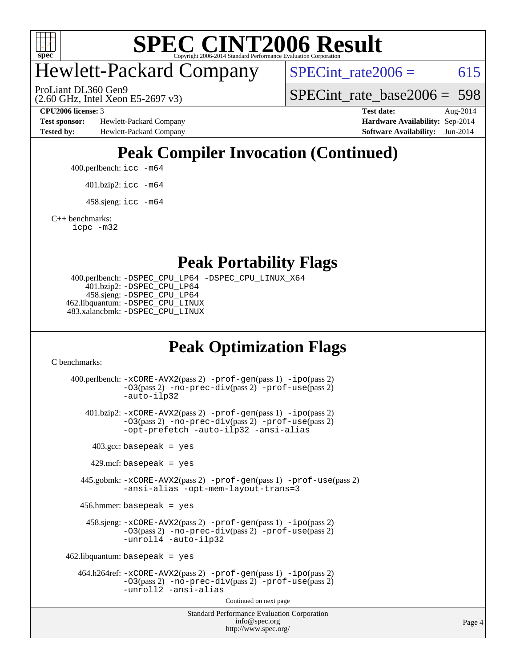

## Hewlett-Packard Company

 $SPECTnt_rate2006 = 615$ 

(2.60 GHz, Intel Xeon E5-2697 v3) ProLiant DL360 Gen9

SPECint rate base  $2006 = 598$ 

**[Test sponsor:](http://www.spec.org/auto/cpu2006/Docs/result-fields.html#Testsponsor)** Hewlett-Packard Company **[Hardware Availability:](http://www.spec.org/auto/cpu2006/Docs/result-fields.html#HardwareAvailability)** Sep-2014 **[Tested by:](http://www.spec.org/auto/cpu2006/Docs/result-fields.html#Testedby)** Hewlett-Packard Company **[Software Availability:](http://www.spec.org/auto/cpu2006/Docs/result-fields.html#SoftwareAvailability)** Jun-2014

**[CPU2006 license:](http://www.spec.org/auto/cpu2006/Docs/result-fields.html#CPU2006license)** 3 **[Test date:](http://www.spec.org/auto/cpu2006/Docs/result-fields.html#Testdate)** Aug-2014

## **[Peak Compiler Invocation \(Continued\)](http://www.spec.org/auto/cpu2006/Docs/result-fields.html#PeakCompilerInvocation)**

400.perlbench: [icc -m64](http://www.spec.org/cpu2006/results/res2014q3/cpu2006-20140908-31233.flags.html#user_peakCCLD400_perlbench_intel_icc_64bit_bda6cc9af1fdbb0edc3795bac97ada53)

401.bzip2: [icc -m64](http://www.spec.org/cpu2006/results/res2014q3/cpu2006-20140908-31233.flags.html#user_peakCCLD401_bzip2_intel_icc_64bit_bda6cc9af1fdbb0edc3795bac97ada53)

 $458 \text{.}$ sjeng: icc  $-\text{m64}$ 

[C++ benchmarks:](http://www.spec.org/auto/cpu2006/Docs/result-fields.html#CXXbenchmarks)

[icpc -m32](http://www.spec.org/cpu2006/results/res2014q3/cpu2006-20140908-31233.flags.html#user_CXXpeak_intel_icpc_4e5a5ef1a53fd332b3c49e69c3330699)

#### **[Peak Portability Flags](http://www.spec.org/auto/cpu2006/Docs/result-fields.html#PeakPortabilityFlags)**

```
 400.perlbench: -DSPEC_CPU_LP64 -DSPEC_CPU_LINUX_X64
    401.bzip2: -DSPEC_CPU_LP64
    458.sjeng: -DSPEC_CPU_LP64
462.libquantum: -DSPEC_CPU_LINUX
483.xalancbmk: -DSPEC_CPU_LINUX
```
## **[Peak Optimization Flags](http://www.spec.org/auto/cpu2006/Docs/result-fields.html#PeakOptimizationFlags)**

[C benchmarks](http://www.spec.org/auto/cpu2006/Docs/result-fields.html#Cbenchmarks):

```
Standard Performance Evaluation Corporation
                                        info@spec.org
                                      http://www.spec.org/
 400.perlbench: -xCORE-AVX2(pass 2) -prof-gen(pass 1) -ipo(pass 2)
             -O3(pass 2) -no-prec-div(pass 2) -prof-use(pass 2)
             -auto-ilp32
    401.bzip2: -xCORE-AVX2(pass 2) -prof-gen(pass 1) -ipo(pass 2)
             -O3(pass 2) -no-prec-div(pass 2) -prof-use(pass 2)
             -opt-prefetch -auto-ilp32 -ansi-alias
     403.\text{gcc: basepeak} = yes
      429.mcf: basepeak = yes
   445.gobmk: -xCORE-AVX2(pass 2) -prof-gen(pass 1) -prof-use(pass 2)
             -ansi-alias -opt-mem-layout-trans=3
   456.hmmer: basepeak = yes
     458.sjeng: -xCORE-AVX2(pass 2) -prof-gen(pass 1) -ipo(pass 2)
             -O3(pass 2) -no-prec-div(pass 2) -prof-use(pass 2)
             -unroll4 -auto-ilp32
462.libquantum: basepeak = yes
  464.h264ref: -xCORE-AVX2(pass 2) -prof-gen(pass 1) -ipo(pass 2)
             -O3(pass 2) -no-prec-div(pass 2) -prof-use(pass 2)
             -unroll2 -ansi-alias
                                      Continued on next page
```